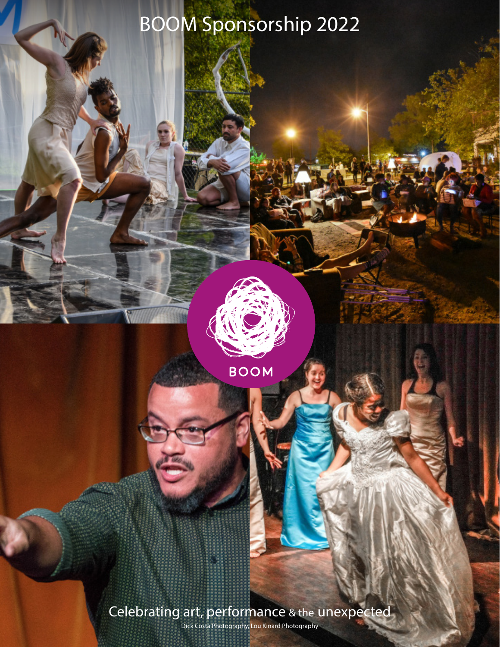# BOOM Sponsorship 2022

Celebrating art, performance & the unexpected

**BOOM** 

Dick Costa Photography, Lou Kinard Photography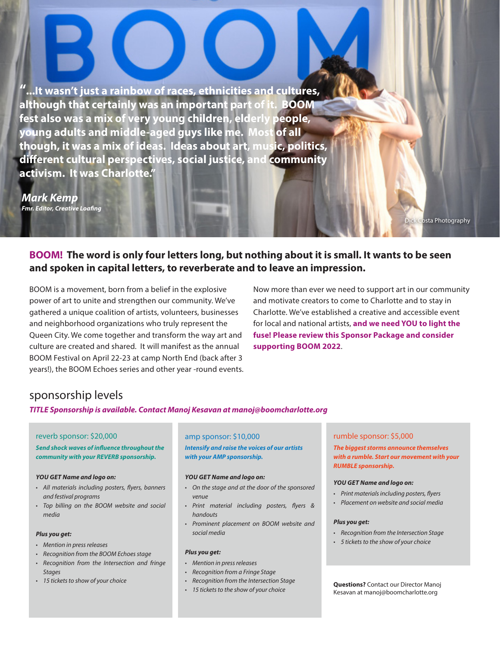**"...It wasn't just a rainbow of races, ethnicities and cultures, although that certainly was an important part of it. BOOM fest also was a mix of very young children, elderly people, young adults and middle-aged guys like me. Most of all though, it was a mix of ideas. Ideas about art, music, politics, different cultural perspectives, social justice, and community activism. It was Charlotte."** 

*Mark Kemp Fmr. Editor, Creative Loafing*

**BOOM! The word is only four letters long, but nothing about it is small. It wants to be seen and spoken in capital letters, to reverberate and to leave an impression.**

BOOM is a movement, born from a belief in the explosive power of art to unite and strengthen our community. We've gathered a unique coalition of artists, volunteers, businesses and neighborhood organizations who truly represent the Queen City. We come together and transform the way art and culture are created and shared. It will manifest as the annual BOOM Festival on April 22-23 at camp North End (back after 3 years!), the BOOM Echoes series and other year -round events. Now more than ever we need to support art in our community and motivate creators to come to Charlotte and to stay in Charlotte. We've established a creative and accessible event for local and national artists, **and we need YOU to light the fuse! Please review this Sponsor Package and consider supporting BOOM 2022**.

## sponsorship levels

*TITLE Sponsorship is available. Contact Manoj Kesavan at manoj@boomcharlotte.org*

### reverb sponsor: \$20,000 amp sponsor: \$10,000 rumble sponsor: \$5,000

*Send shock waves of influence throughout the community with your REVERB sponsorship.* 

#### *YOU GET Name and logo on:*

- *All materials including posters, flyers, banners and festival programs*
- *Top billing on the BOOM website and social media*

### *Plus you get:*

- *• Mention in press releases*
- *• Recognition from the BOOM Echoes stage*
- *• Recognition from the Intersection and fringe Stages*
- *• 15 tickets to show of your choice*

*Intensify and raise the voices of our artists with your AMP sponsorship.* 

#### *YOU GET Name and logo on:*

- *On the stage and at the door of the sponsored venue*
- *Print material including posters, flyers & handouts*
- *Prominent placement on BOOM website and social media*

#### *Plus you get:*

- *• Mention in press releases*
- *• Recognition from a Fringe Stage*
- *• Recognition from the Intersection Stage*
- *• 15 tickets to the show of your choice*

*The biggest storms announce themselves with a rumble. Start our movement with your RUMBLE sponsorship.*

ck Costa Photography

#### *YOU GET Name and logo on:*

- *Print materials including posters, flyers*
- *Placement on website and social media*

#### *Plus you get:*

- *• Recognition from the Intersection Stage*
- *• 5 tickets to the show of your choice*

**Questions?** Contact our Director Manoj Kesavan at manoj@boomcharlotte.org